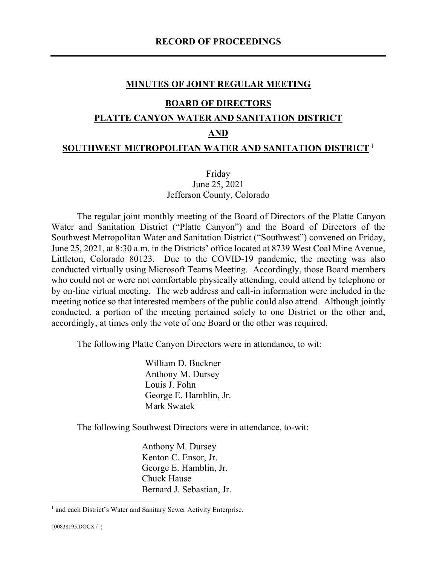#### **MINUTES OF JOINT REGULAR MEETING**

#### **BOARD OF DIRECTORS**

#### **PLATTE CANYON WATER AND SANITATION DISTRICT**

#### **AND**

#### **SOUTHWEST METROPOLITAN WATER AND SANITATION DISTRICT** [1](#page-0-0)

## Friday June 25, 2021 Jefferson County, Colorado

The regular joint monthly meeting of the Board of Directors of the Platte Canyon Water and Sanitation District ("Platte Canyon") and the Board of Directors of the Southwest Metropolitan Water and Sanitation District ("Southwest") convened on Friday, June 25, 2021, at 8:30 a.m. in the Districts' office located at 8739 West Coal Mine Avenue, Littleton, Colorado 80123. Due to the COVID-19 pandemic, the meeting was also conducted virtually using Microsoft Teams Meeting. Accordingly, those Board members who could not or were not comfortable physically attending, could attend by telephone or by on-line virtual meeting. The web address and call-in information were included in the meeting notice so that interested members of the public could also attend. Although jointly conducted, a portion of the meeting pertained solely to one District or the other and, accordingly, at times only the vote of one Board or the other was required.

The following Platte Canyon Directors were in attendance, to wit:

William D. Buckner Anthony M. Dursey Louis J. Fohn George E. Hamblin, Jr. Mark Swatek

The following Southwest Directors were in attendance, to-wit:

Anthony M. Dursey Kenton C. Ensor, Jr. George E. Hamblin, Jr. Chuck Hause Bernard J. Sebastian, Jr.

<span id="page-0-0"></span><sup>&</sup>lt;sup>1</sup> and each District's Water and Sanitary Sewer Activity Enterprise.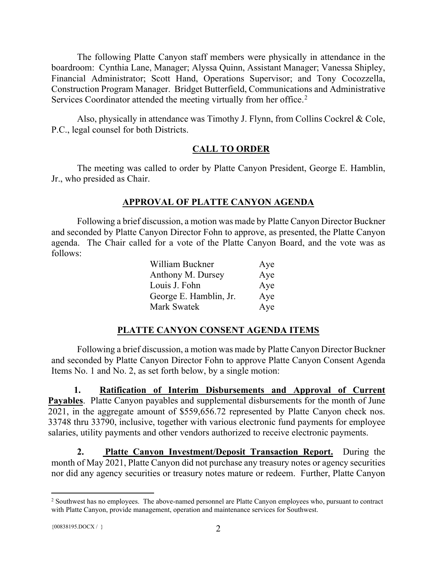The following Platte Canyon staff members were physically in attendance in the boardroom: Cynthia Lane, Manager; Alyssa Quinn, Assistant Manager; Vanessa Shipley, Financial Administrator; Scott Hand, Operations Supervisor; and Tony Cocozzella, Construction Program Manager. Bridget Butterfield, Communications and Administrative Services Coordinator attended the meeting virtually from her office.<sup>[2](#page-1-0)</sup>

Also, physically in attendance was Timothy J. Flynn, from Collins Cockrel & Cole, P.C., legal counsel for both Districts.

# **CALL TO ORDER**

The meeting was called to order by Platte Canyon President, George E. Hamblin, Jr., who presided as Chair.

# **APPROVAL OF PLATTE CANYON AGENDA**

Following a brief discussion, a motion was made by Platte Canyon Director Buckner and seconded by Platte Canyon Director Fohn to approve, as presented, the Platte Canyon agenda. The Chair called for a vote of the Platte Canyon Board, and the vote was as follows:

| William Buckner        | Aye |
|------------------------|-----|
| Anthony M. Dursey      | Aye |
| Louis J. Fohn          | Aye |
| George E. Hamblin, Jr. | Aye |
| Mark Swatek            | Aye |

# **PLATTE CANYON CONSENT AGENDA ITEMS**

Following a brief discussion, a motion was made by Platte Canyon Director Buckner and seconded by Platte Canyon Director Fohn to approve Platte Canyon Consent Agenda Items No. 1 and No. 2, as set forth below, by a single motion:

**1. Ratification of Interim Disbursements and Approval of Current Payables**. Platte Canyon payables and supplemental disbursements for the month of June 2021, in the aggregate amount of \$559,656.72 represented by Platte Canyon check nos. 33748 thru 33790, inclusive, together with various electronic fund payments for employee salaries, utility payments and other vendors authorized to receive electronic payments.

**2. Platte Canyon Investment/Deposit Transaction Report.** During the month of May 2021, Platte Canyon did not purchase any treasury notes or agency securities nor did any agency securities or treasury notes mature or redeem. Further, Platte Canyon

<span id="page-1-0"></span><sup>&</sup>lt;sup>2</sup> Southwest has no employees. The above-named personnel are Platte Canyon employees who, pursuant to contract with Platte Canyon, provide management, operation and maintenance services for Southwest.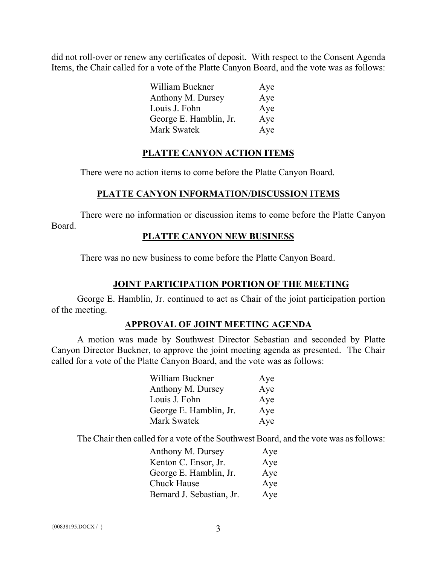did not roll-over or renew any certificates of deposit. With respect to the Consent Agenda Items, the Chair called for a vote of the Platte Canyon Board, and the vote was as follows:

| William Buckner        | Aye |
|------------------------|-----|
| Anthony M. Dursey      | Aye |
| Louis J. Fohn          | Aye |
| George E. Hamblin, Jr. | Aye |
| Mark Swatek            | Aye |

## **PLATTE CANYON ACTION ITEMS**

There were no action items to come before the Platte Canyon Board.

## **PLATTE CANYON INFORMATION/DISCUSSION ITEMS**

There were no information or discussion items to come before the Platte Canyon Board.

#### **PLATTE CANYON NEW BUSINESS**

There was no new business to come before the Platte Canyon Board.

# **JOINT PARTICIPATION PORTION OF THE MEETING**

George E. Hamblin, Jr. continued to act as Chair of the joint participation portion of the meeting.

#### **APPROVAL OF JOINT MEETING AGENDA**

A motion was made by Southwest Director Sebastian and seconded by Platte Canyon Director Buckner, to approve the joint meeting agenda as presented. The Chair called for a vote of the Platte Canyon Board, and the vote was as follows:

| William Buckner        | Aye |
|------------------------|-----|
| Anthony M. Dursey      | Aye |
| Louis J. Fohn          | Aye |
| George E. Hamblin, Jr. | Aye |
| <b>Mark Swatek</b>     | Aye |

The Chair then called for a vote of the Southwest Board, and the vote was as follows:

| Anthony M. Dursey         | Aye |
|---------------------------|-----|
| Kenton C. Ensor, Jr.      | Aye |
| George E. Hamblin, Jr.    | Aye |
| Chuck Hause               | Aye |
| Bernard J. Sebastian, Jr. | Aye |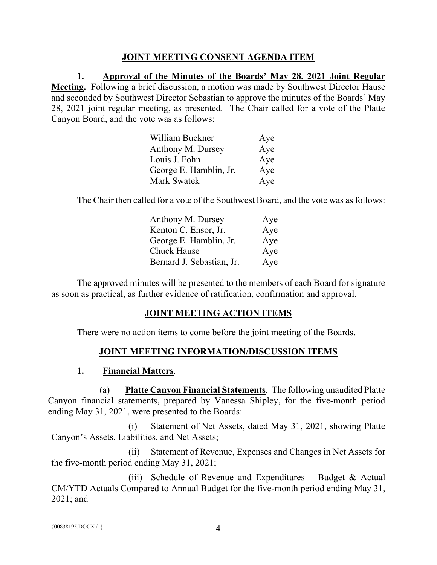## **JOINT MEETING CONSENT AGENDA ITEM**

**1. Approval of the Minutes of the Boards' May 28, 2021 Joint Regular Meeting.** Following a brief discussion, a motion was made by Southwest Director Hause and seconded by Southwest Director Sebastian to approve the minutes of the Boards' May 28, 2021 joint regular meeting, as presented. The Chair called for a vote of the Platte Canyon Board, and the vote was as follows:

| William Buckner        | Aye |
|------------------------|-----|
| Anthony M. Dursey      | Aye |
| Louis J. Fohn          | Aye |
| George E. Hamblin, Jr. | Aye |
| Mark Swatek            | Aye |

The Chair then called for a vote of the Southwest Board, and the vote was as follows:

| Anthony M. Dursey         | Aye |
|---------------------------|-----|
| Kenton C. Ensor, Jr.      | Aye |
| George E. Hamblin, Jr.    | Aye |
| <b>Chuck Hause</b>        | Aye |
| Bernard J. Sebastian, Jr. | Aye |

The approved minutes will be presented to the members of each Board for signature as soon as practical, as further evidence of ratification, confirmation and approval.

## **JOINT MEETING ACTION ITEMS**

There were no action items to come before the joint meeting of the Boards.

## **JOINT MEETING INFORMATION/DISCUSSION ITEMS**

## **1. Financial Matters**.

(a) **Platte Canyon Financial Statements**. The following unaudited Platte Canyon financial statements, prepared by Vanessa Shipley, for the five-month period ending May 31, 2021, were presented to the Boards:

(i) Statement of Net Assets, dated May 31, 2021, showing Platte Canyon's Assets, Liabilities, and Net Assets;

(ii) Statement of Revenue, Expenses and Changes in Net Assets for the five-month period ending May 31, 2021;

(iii) Schedule of Revenue and Expenditures – Budget & Actual CM/YTD Actuals Compared to Annual Budget for the five-month period ending May 31, 2021; and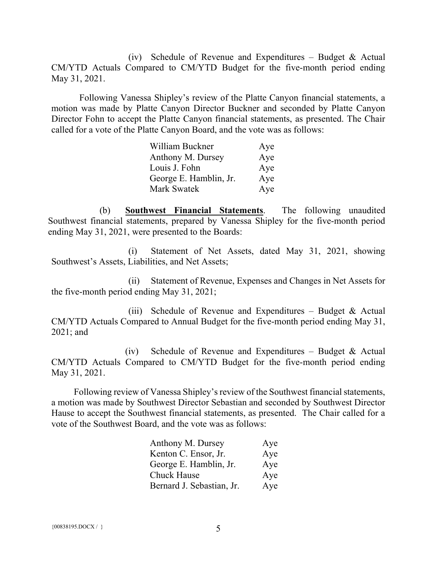(iv) Schedule of Revenue and Expenditures – Budget & Actual CM/YTD Actuals Compared to CM/YTD Budget for the five-month period ending May 31, 2021.

Following Vanessa Shipley's review of the Platte Canyon financial statements, a motion was made by Platte Canyon Director Buckner and seconded by Platte Canyon Director Fohn to accept the Platte Canyon financial statements, as presented. The Chair called for a vote of the Platte Canyon Board, and the vote was as follows:

| William Buckner        | Aye |
|------------------------|-----|
| Anthony M. Dursey      | Aye |
| Louis J. Fohn          | Aye |
| George E. Hamblin, Jr. | Aye |
| Mark Swatek            | Aye |

(b) **Southwest Financial Statements**. The following unaudited Southwest financial statements, prepared by Vanessa Shipley for the five-month period ending May 31, 2021, were presented to the Boards:

(i) Statement of Net Assets, dated May 31, 2021, showing Southwest's Assets, Liabilities, and Net Assets;

(ii) Statement of Revenue, Expenses and Changes in Net Assets for the five-month period ending May 31, 2021;

(iii) Schedule of Revenue and Expenditures – Budget & Actual CM/YTD Actuals Compared to Annual Budget for the five-month period ending May 31, 2021; and

(iv) Schedule of Revenue and Expenditures – Budget & Actual CM/YTD Actuals Compared to CM/YTD Budget for the five-month period ending May 31, 2021.

Following review of Vanessa Shipley's review of the Southwest financial statements, a motion was made by Southwest Director Sebastian and seconded by Southwest Director Hause to accept the Southwest financial statements, as presented. The Chair called for a vote of the Southwest Board, and the vote was as follows:

| Anthony M. Dursey         | Aye |
|---------------------------|-----|
| Kenton C. Ensor, Jr.      | Aye |
| George E. Hamblin, Jr.    | Aye |
| Chuck Hause               | Aye |
| Bernard J. Sebastian, Jr. | Aye |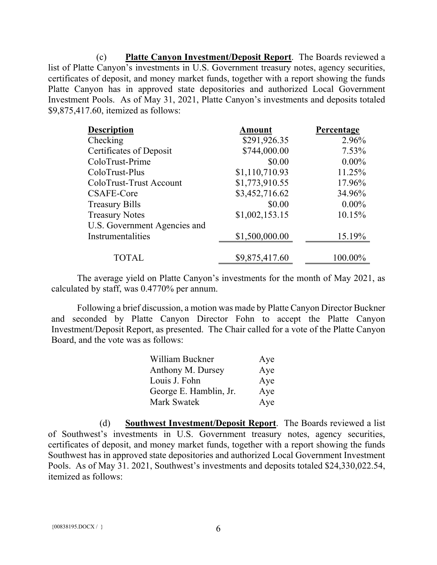(c) **Platte Canyon Investment/Deposit Report**. The Boards reviewed a list of Platte Canyon's investments in U.S. Government treasury notes, agency securities, certificates of deposit, and money market funds, together with a report showing the funds Platte Canyon has in approved state depositories and authorized Local Government Investment Pools. As of May 31, 2021, Platte Canyon's investments and deposits totaled \$9,875,417.60, itemized as follows:

| <b>Description</b>           | Amount         | <b>Percentage</b> |
|------------------------------|----------------|-------------------|
| Checking                     | \$291,926.35   | 2.96%             |
| Certificates of Deposit      | \$744,000.00   | 7.53%             |
| ColoTrust-Prime              | \$0.00         | $0.00\%$          |
| ColoTrust-Plus               | \$1,110,710.93 | 11.25%            |
| ColoTrust-Trust Account      | \$1,773,910.55 | 17.96%            |
| CSAFE-Core                   | \$3,452,716.62 | 34.96%            |
| <b>Treasury Bills</b>        | \$0.00         | $0.00\%$          |
| <b>Treasury Notes</b>        | \$1,002,153.15 | 10.15%            |
| U.S. Government Agencies and |                |                   |
| Instrumentalities            | \$1,500,000.00 | 15.19%            |
| <b>TOTAL</b>                 | \$9,875,417.60 | 100.00%           |

The average yield on Platte Canyon's investments for the month of May 2021, as calculated by staff, was 0.4770% per annum.

Following a brief discussion, a motion was made by Platte Canyon Director Buckner and seconded by Platte Canyon Director Fohn to accept the Platte Canyon Investment/Deposit Report, as presented. The Chair called for a vote of the Platte Canyon Board, and the vote was as follows:

| William Buckner        | Aye |
|------------------------|-----|
| Anthony M. Dursey      | Aye |
| Louis J. Fohn          | Aye |
| George E. Hamblin, Jr. | Aye |
| Mark Swatek            | Aye |

(d) **Southwest Investment/Deposit Report**. The Boards reviewed a list of Southwest's investments in U.S. Government treasury notes, agency securities, certificates of deposit, and money market funds, together with a report showing the funds Southwest has in approved state depositories and authorized Local Government Investment Pools. As of May 31. 2021, Southwest's investments and deposits totaled \$24,330,022.54, itemized as follows: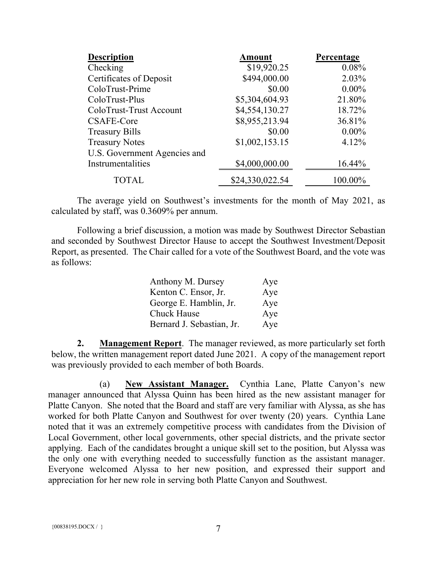| <b>Description</b>           | <b>Amount</b>   | Percentage |
|------------------------------|-----------------|------------|
| Checking                     | \$19,920.25     | 0.08%      |
| Certificates of Deposit      | \$494,000.00    | 2.03%      |
| ColoTrust-Prime              | \$0.00          | $0.00\%$   |
| ColoTrust-Plus               | \$5,304,604.93  | 21.80%     |
| ColoTrust-Trust Account      | \$4,554,130.27  | 18.72%     |
| CSAFE-Core                   | \$8,955,213.94  | 36.81%     |
| <b>Treasury Bills</b>        | \$0.00          | $0.00\%$   |
| <b>Treasury Notes</b>        | \$1,002,153.15  | 4.12%      |
| U.S. Government Agencies and |                 |            |
| Instrumentalities            | \$4,000,000.00  | 16.44%     |
| <b>TOTAL</b>                 | \$24,330,022.54 | 100.00%    |

The average yield on Southwest's investments for the month of May 2021, as calculated by staff, was 0.3609% per annum.

Following a brief discussion, a motion was made by Southwest Director Sebastian and seconded by Southwest Director Hause to accept the Southwest Investment/Deposit Report, as presented. The Chair called for a vote of the Southwest Board, and the vote was as follows:

| Anthony M. Dursey         | Aye |
|---------------------------|-----|
| Kenton C. Ensor, Jr.      | Aye |
| George E. Hamblin, Jr.    | Aye |
| <b>Chuck Hause</b>        | Aye |
| Bernard J. Sebastian, Jr. | Aye |

**2. Management Report**. The manager reviewed, as more particularly set forth below, the written management report dated June 2021. A copy of the management report was previously provided to each member of both Boards.

(a) **New Assistant Manager.** Cynthia Lane, Platte Canyon's new manager announced that Alyssa Quinn has been hired as the new assistant manager for Platte Canyon. She noted that the Board and staff are very familiar with Alyssa, as she has worked for both Platte Canyon and Southwest for over twenty (20) years. Cynthia Lane noted that it was an extremely competitive process with candidates from the Division of Local Government, other local governments, other special districts, and the private sector applying. Each of the candidates brought a unique skill set to the position, but Alyssa was the only one with everything needed to successfully function as the assistant manager. Everyone welcomed Alyssa to her new position, and expressed their support and appreciation for her new role in serving both Platte Canyon and Southwest.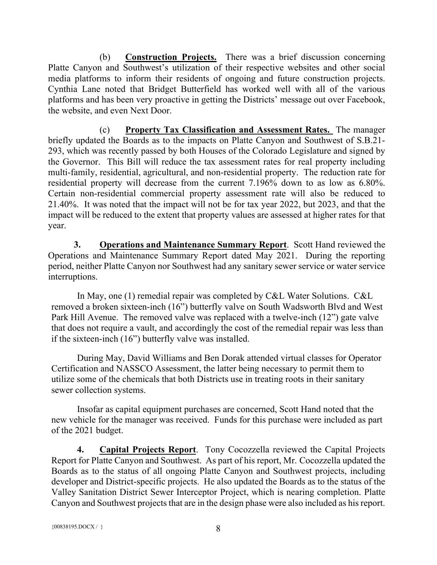(b) **Construction Projects.** There was a brief discussion concerning Platte Canyon and Southwest's utilization of their respective websites and other social media platforms to inform their residents of ongoing and future construction projects. Cynthia Lane noted that Bridget Butterfield has worked well with all of the various platforms and has been very proactive in getting the Districts' message out over Facebook, the website, and even Next Door.

(c) **Property Tax Classification and Assessment Rates.** The manager briefly updated the Boards as to the impacts on Platte Canyon and Southwest of S.B.21- 293, which was recently passed by both Houses of the Colorado Legislature and signed by the Governor. This Bill will reduce the tax assessment rates for real property including multi-family, residential, agricultural, and non-residential property. The reduction rate for residential property will decrease from the current 7.196% down to as low as 6.80%. Certain non-residential commercial property assessment rate will also be reduced to 21.40%. It was noted that the impact will not be for tax year 2022, but 2023, and that the impact will be reduced to the extent that property values are assessed at higher rates for that year.

**3. Operations and Maintenance Summary Report**. Scott Hand reviewed the Operations and Maintenance Summary Report dated May 2021. During the reporting period, neither Platte Canyon nor Southwest had any sanitary sewer service or water service interruptions.

In May, one (1) remedial repair was completed by C&L Water Solutions. C&L removed a broken sixteen-inch (16") butterfly valve on South Wadsworth Blvd and West Park Hill Avenue. The removed valve was replaced with a twelve-inch (12") gate valve that does not require a vault, and accordingly the cost of the remedial repair was less than if the sixteen-inch (16") butterfly valve was installed.

During May, David Williams and Ben Dorak attended virtual classes for Operator Certification and NASSCO Assessment, the latter being necessary to permit them to utilize some of the chemicals that both Districts use in treating roots in their sanitary sewer collection systems.

Insofar as capital equipment purchases are concerned, Scott Hand noted that the new vehicle for the manager was received. Funds for this purchase were included as part of the 2021 budget.

**4. Capital Projects Report**. Tony Cocozzella reviewed the Capital Projects Report for Platte Canyon and Southwest. As part of his report, Mr. Cocozzella updated the Boards as to the status of all ongoing Platte Canyon and Southwest projects, including developer and District-specific projects. He also updated the Boards as to the status of the Valley Sanitation District Sewer Interceptor Project, which is nearing completion. Platte Canyon and Southwest projects that are in the design phase were also included as his report.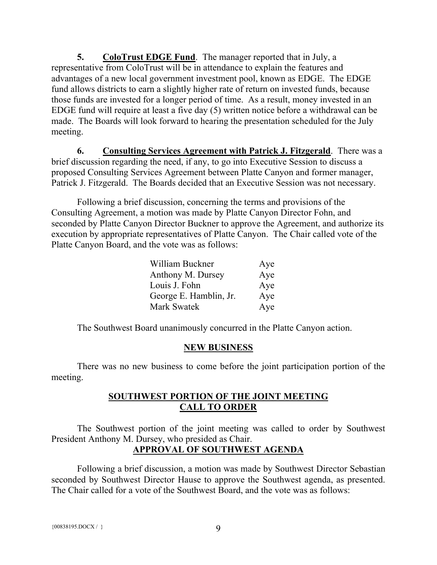**5. ColoTrust EDGE Fund**. The manager reported that in July, a representative from ColoTrust will be in attendance to explain the features and advantages of a new local government investment pool, known as EDGE. The EDGE fund allows districts to earn a slightly higher rate of return on invested funds, because those funds are invested for a longer period of time. As a result, money invested in an EDGE fund will require at least a five day (5) written notice before a withdrawal can be made. The Boards will look forward to hearing the presentation scheduled for the July meeting.

**6. Consulting Services Agreement with Patrick J. Fitzgerald**. There was a brief discussion regarding the need, if any, to go into Executive Session to discuss a proposed Consulting Services Agreement between Platte Canyon and former manager, Patrick J. Fitzgerald. The Boards decided that an Executive Session was not necessary.

Following a brief discussion, concerning the terms and provisions of the Consulting Agreement, a motion was made by Platte Canyon Director Fohn, and seconded by Platte Canyon Director Buckner to approve the Agreement, and authorize its execution by appropriate representatives of Platte Canyon. The Chair called vote of the Platte Canyon Board, and the vote was as follows:

| William Buckner        | Aye |
|------------------------|-----|
| Anthony M. Dursey      | Aye |
| Louis J. Fohn          | Aye |
| George E. Hamblin, Jr. | Aye |
| <b>Mark Swatek</b>     | Aye |

The Southwest Board unanimously concurred in the Platte Canyon action.

## **NEW BUSINESS**

There was no new business to come before the joint participation portion of the meeting.

## **SOUTHWEST PORTION OF THE JOINT MEETING CALL TO ORDER**

The Southwest portion of the joint meeting was called to order by Southwest President Anthony M. Dursey, who presided as Chair.

# **APPROVAL OF SOUTHWEST AGENDA**

Following a brief discussion, a motion was made by Southwest Director Sebastian seconded by Southwest Director Hause to approve the Southwest agenda, as presented. The Chair called for a vote of the Southwest Board, and the vote was as follows: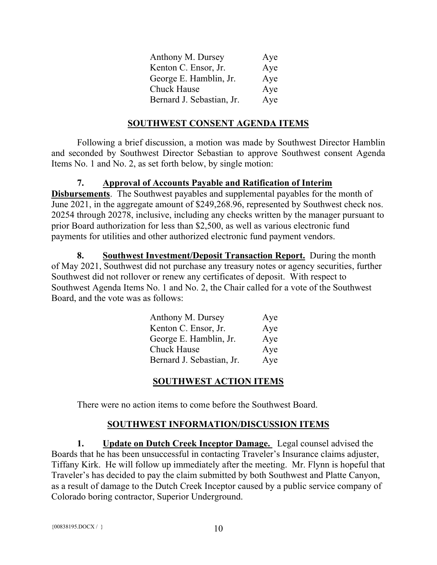| Anthony M. Dursey         | Aye |
|---------------------------|-----|
| Kenton C. Ensor, Jr.      | Aye |
| George E. Hamblin, Jr.    | Aye |
| <b>Chuck Hause</b>        | Aye |
| Bernard J. Sebastian, Jr. | Aye |

#### **SOUTHWEST CONSENT AGENDA ITEMS**

Following a brief discussion, a motion was made by Southwest Director Hamblin and seconded by Southwest Director Sebastian to approve Southwest consent Agenda Items No. 1 and No. 2, as set forth below, by single motion:

#### **7. Approval of Accounts Payable and Ratification of Interim**

**Disbursements**. The Southwest payables and supplemental payables for the month of June 2021, in the aggregate amount of \$249,268.96, represented by Southwest check nos. 20254 through 20278, inclusive, including any checks written by the manager pursuant to prior Board authorization for less than \$2,500, as well as various electronic fund payments for utilities and other authorized electronic fund payment vendors.

**8. Southwest Investment/Deposit Transaction Report.** During the month of May 2021, Southwest did not purchase any treasury notes or agency securities, further Southwest did not rollover or renew any certificates of deposit. With respect to Southwest Agenda Items No. 1 and No. 2, the Chair called for a vote of the Southwest Board, and the vote was as follows:

| Anthony M. Dursey         | Aye |
|---------------------------|-----|
| Kenton C. Ensor, Jr.      | Aye |
| George E. Hamblin, Jr.    | Aye |
| <b>Chuck Hause</b>        | Aye |
| Bernard J. Sebastian, Jr. | Aye |

#### **SOUTHWEST ACTION ITEMS**

There were no action items to come before the Southwest Board.

#### **SOUTHWEST INFORMATION/DISCUSSION ITEMS**

**1. Update on Dutch Creek Inceptor Damage.** Legal counsel advised the Boards that he has been unsuccessful in contacting Traveler's Insurance claims adjuster, Tiffany Kirk. He will follow up immediately after the meeting. Mr. Flynn is hopeful that Traveler's has decided to pay the claim submitted by both Southwest and Platte Canyon, as a result of damage to the Dutch Creek Inceptor caused by a public service company of Colorado boring contractor, Superior Underground.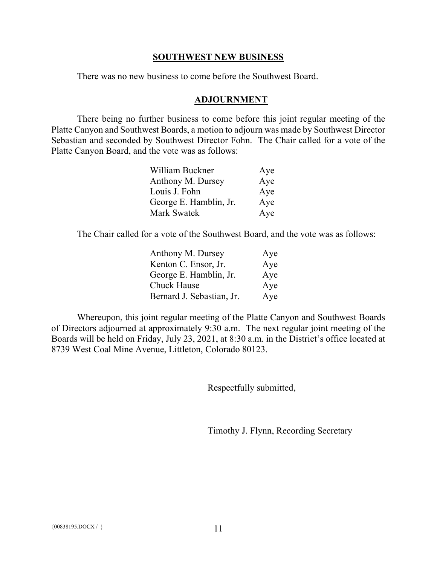#### **SOUTHWEST NEW BUSINESS**

There was no new business to come before the Southwest Board.

#### **ADJOURNMENT**

There being no further business to come before this joint regular meeting of the Platte Canyon and Southwest Boards, a motion to adjourn was made by Southwest Director Sebastian and seconded by Southwest Director Fohn. The Chair called for a vote of the Platte Canyon Board, and the vote was as follows:

| William Buckner        | Aye |
|------------------------|-----|
| Anthony M. Dursey      | Aye |
| Louis J. Fohn          | Aye |
| George E. Hamblin, Jr. | Aye |
| Mark Swatek            | Aye |

The Chair called for a vote of the Southwest Board, and the vote was as follows:

| Anthony M. Dursey         | Aye |
|---------------------------|-----|
| Kenton C. Ensor, Jr.      | Aye |
| George E. Hamblin, Jr.    | Aye |
| <b>Chuck Hause</b>        | Aye |
| Bernard J. Sebastian, Jr. | Aye |

Whereupon, this joint regular meeting of the Platte Canyon and Southwest Boards of Directors adjourned at approximately 9:30 a.m. The next regular joint meeting of the Boards will be held on Friday, July 23, 2021, at 8:30 a.m. in the District's office located at 8739 West Coal Mine Avenue, Littleton, Colorado 80123.

Respectfully submitted,

Timothy J. Flynn, Recording Secretary